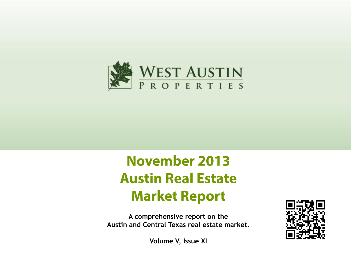

# **November 2013 Austin Real Estate Market Report**

**A comprehensive report on the Austin and Central Texas real estate market.**



**Volume V, Issue XI**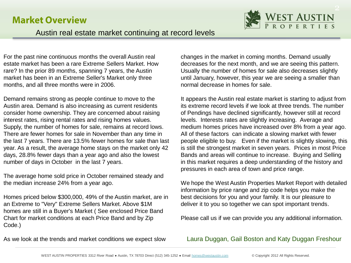#### **Market Overview**



#### Austin real estate market continuing at record levels

For the past nine continuous months the overall Austin real estate market has been a rare Extreme Sellers Market. How rare? In the prior 89 months, spanning 7 years, the Austin market has been in an Extreme Seller's Market only three months, and all three months were in 2006.

Demand remains strong as people continue to move to the Austin area. Demand is also increasing as current residents consider home ownership. They are concerned about raising interest rates, rising rental rates and rising homes values. Supply, the number of homes for sale, remains at record lows. There are fewer homes for sale in November than any time in the last 7 years. There are 13.5% fewer homes for sale than last year. As a result, the average home stays on the market only 42 days, 28.8% fewer days than a year ago and also the lowest number of days in October in the last 7 years.

The average home sold price in October remained steady and the median increase 24% from a year ago.

Homes priced below \$300,000, 49% of the Austin market, are in an Extreme to "Very" Extreme Sellers Market. Above \$1M homes are still in a Buyer's Market ( See enclosed Price Band Chart for market conditions at each Price Band and by Zip Code.)

changes in the market in coming months. Demand usually decreases for the next month, and we are seeing this pattern. Usually the number of homes for sale also decreases slightly until January, however, this year we are seeing a smaller than normal decrease in homes for sale.

It appears the Austin real estate market is starting to adjust from its extreme record levels if we look at three trends. The number of Pendings have declined significantly, however still at record levels. Interests rates are slightly increasing. Average and medium homes prices have increased over 8% from a year ago. All of these factors can indicate a slowing market with fewer people eligible to buy. Even if the market is slightly slowing, this is still the strongest market in seven years. Prices in most Price Bands and areas will continue to increase. Buying and Selling in this market requires a deep understanding of the history and pressures in each area of town and price range.

We hope the West Austin Properties Market Report with detailed information by price range and zip code helps you make the best decisions for you and your family. It is our pleasure to deliver it to you so together we can spot important trends.

Please call us if we can provide you any additional information.

As we look at the trends and market conditions we expect slow

#### Laura Duggan, Gail Boston and Katy Duggan Freshour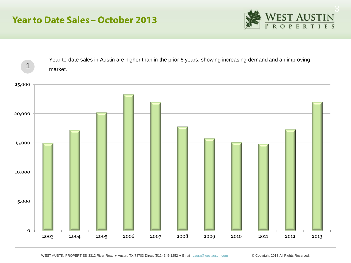## **Year to Date Sales - October 2013**





WEST AUSTIN PROPERTIES 3312 River Road · Austin, TX 78703 Direct (512) 345-1252 · Email [Laura@westaustin.com](mailto:Laura@westaustin.com) © Copyright 2013 All Rights Reserved.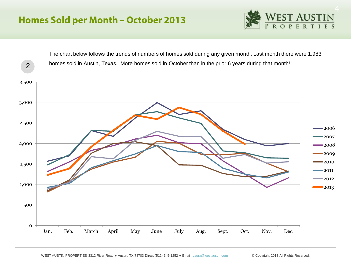## **Homes Sold per Month - October 2013**



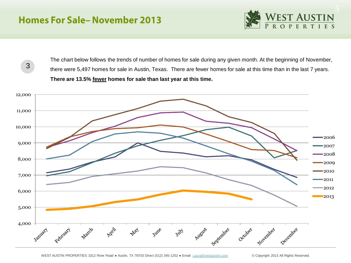### **Homes For Sale-November 2013**



3

The chart below follows the trends of number of homes for sale during any given month. At the beginning of November, there were 5,497 homes for sale in Austin, Texas. There are fewer homes for sale at this time than in the last 7 years. **There are 13.5% fewer homes for sale than last year at this time.** 

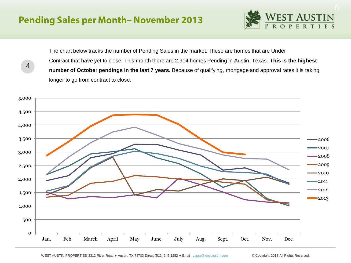4



The chart below tracks the number of Pending Sales in the market. These are homes that are Under Contract that have yet to close. This month there are 2,914 homes Pending in Austin, Texas. **This is the highest number of October pendings in the last 7 years.** Because of qualifying, mortgage and approval rates it is taking longer to go from contract to close.

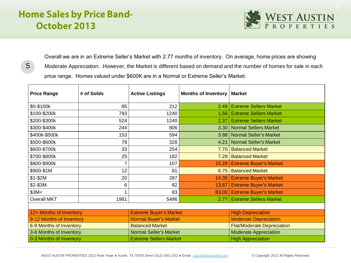# **Home Sales by Price Band-**October 2013

5



Overall we are in an Extreme Seller's Market with 2.77 months of inventory. On average, home prices are showing Moderate Appreciation. However, the Market is different based on demand and the number of homes for sale in each price range. Homes valued under \$600K are in a Normal or Extreme Seller's Market.

| <b>Price Range</b>       | # of Solds     | <b>Active Listings</b>        | <b>Months of Inventory</b>             | <b>Market</b>                        |  |
|--------------------------|----------------|-------------------------------|----------------------------------------|--------------------------------------|--|
| \$0-\$100k               | 85             | 212                           | 2.49                                   | <b>Extreme Sellers Market</b>        |  |
| \$100-\$200k             | 793            | 1240                          | 1.56                                   | <b>Extreme Sellers Market</b>        |  |
| \$200-\$300k             | 524            | 1240                          | 2.37                                   | <b>Extreme Sellers Market</b>        |  |
| \$300-\$400k             | 244            | 806                           |                                        | <b>Normal Sellers Market</b><br>3.30 |  |
| \$400k-\$500k            | 153            | 594                           | 3.88                                   | <b>Normal Seller's Market</b>        |  |
| \$500-\$600k             | 78             | 328                           | 4.21                                   | <b>Normal Seller's Market</b>        |  |
| \$600-\$700k             | 33             | 254                           | 7.70                                   | <b>Balanced Market</b>               |  |
| \$700-\$800k             | 25             | 182                           | 7.28                                   | <b>Balanced Market</b>               |  |
| \$800-\$900k             | $\overline{7}$ | 107                           | 15.29                                  | <b>Extreme Buyer's Market</b>        |  |
| \$900-\$1M               | 12             | 81                            | 6.75                                   | <b>Balanced Market</b>               |  |
| $$1 - $2M$               | 20             | 287                           | 14.35                                  | <b>Extreme Buyer's Market</b>        |  |
| \$2-\$3M                 | 6              | 82                            | 13.67                                  | <b>Extreme Buyer's Market</b>        |  |
| \$3M<                    |                | 83                            | <b>Extreme Buyer's Market</b><br>83.00 |                                      |  |
| <b>Overall MKT</b>       | 1981           | 5496                          | 2.77                                   | <b>Extreme Sellers Market</b>        |  |
|                          |                |                               |                                        |                                      |  |
| 12+ Months of Inventory  |                | <b>Extreme Buyer's Market</b> |                                        | <b>High Depreciation</b>             |  |
| 9-12 Months of Inventory |                | <b>Normal Buyer's Market</b>  |                                        | <b>Moderate Depreciation</b>         |  |
| 6-9 Months of Inventory  |                | <b>Balanced Market</b>        |                                        | <b>Flat/Moderate Depreciation</b>    |  |
| 3-6 Months of Inventory  |                | <b>Normal Seller's Market</b> |                                        | <b>Moderate Appreciation</b>         |  |
| 0-3 Months of Inventory  |                | <b>Extreme Sellers Market</b> |                                        | <b>High Appreciation</b>             |  |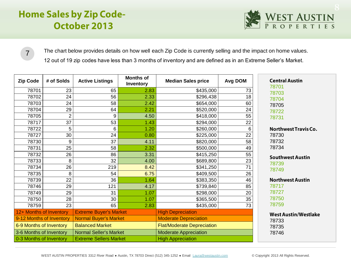# **Home Sales by Zip Code-**October 2013



The chart below provides details on how well each Zip Code is currently selling and the impact on home values. 12 out of 19 zip codes have less than 3 months of inventory and are defined as in an Extreme Seller's Market.

| <b>Zip Code</b>          | # of Solds     | <b>Active Listings</b>        | <b>Months of</b><br>Inventory | <b>Median Sales price</b>         | Avg DOM | <b>Central Austin</b><br>78701 |
|--------------------------|----------------|-------------------------------|-------------------------------|-----------------------------------|---------|--------------------------------|
| 78701                    | 23             | 65                            | 2.83                          | \$435,000                         | 73      | 78703                          |
| 78702                    | 24             | 56                            | 2.33                          | \$296,438                         | 18      | 78704                          |
| 78703                    | 24             | 58                            | 2.42                          | \$654,000                         | 60      | 78705                          |
| 78704                    | 29             | 64                            | 2.21                          | \$520,000                         | 24      | 78722                          |
| 78705                    | $\overline{2}$ | 9                             | 4.50                          | \$418,000                         | 55      | 78731                          |
| 78717                    | 37             | 53                            | 1.43                          | \$294,000                         | 22      |                                |
| 78722                    | 5              | 6                             | 1.20                          | \$260,000                         | 6       | <b>Northwest Travis Co.</b>    |
| 78727                    | 30             | 24                            | 0.80                          | \$225,000                         | 22      | 78730                          |
| 78730                    | 9              | 37                            | 4.11                          | \$820,000                         | 58      | 78732                          |
| 78731                    | 25             | 58                            | 2.32                          | \$500,000                         | 49      | 78734                          |
| 78732                    | 26             | 86                            | 3.31                          | \$415,250                         | 55      | <b>Southwest Austin</b>        |
| 78733                    | 8              | 32                            | 4.00                          | \$689,800                         | 23      | 78739                          |
| 78734                    | 26             | 219                           | 8.42                          | \$341,250                         | 71      | 78749                          |
| 78735                    | 8              | 54                            | 6.75                          | \$409,500                         | 26      |                                |
| 78739                    | 22             | 36                            | 1.64                          | \$383,350                         | 46      | <b>Northwest Austin</b>        |
| 78746                    | 29             | 121                           | 4.17                          | \$739,840                         | 85      | 78717                          |
| 78749                    | 29             | 31                            | 1.07                          | \$298,000                         | 20      | 78727                          |
| 78750                    | 28             | 30                            | 1.07                          | \$365,500                         | 35      | 78750                          |
| 78759                    | 23             | 65                            | 2.83                          | \$435,000                         | 73      | 78759                          |
| 12+ Months of Inventory  |                | <b>Extreme Buyer's Market</b> |                               | <b>High Depreciation</b>          |         | <b>West Austin/Westlake</b>    |
| 9-12 Months of Inventory |                | <b>Normal Buyer's Market</b>  |                               | <b>Moderate Depreciation</b>      |         | 78733                          |
| 6-9 Months of Inventory  |                | <b>Balanced Market</b>        |                               | <b>Flat/Moderate Depreciation</b> |         | 78735                          |
| 3-6 Months of Inventory  |                | <b>Normal Seller's Market</b> |                               | <b>Moderate Appreciation</b>      |         | 78746                          |
| 0-3 Months of Inventory  |                | <b>Extreme Sellers Market</b> |                               | <b>High Appreciation</b>          |         |                                |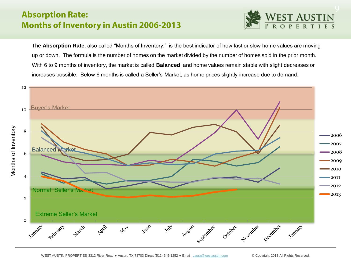#### **Absorption Rate: Months of Inventory in Austin 2006-2013**



The **Absorption Rate**, also called "Months of Inventory," is the best indicator of how fast or slow home values are moving up or down. The formula is the number of homes on the market divided by the number of homes sold in the prior month. With 6 to 9 months of inventory, the market is called **Balanced**, and home values remain stable with slight decreases or increases possible. Below 6 months is called a Seller's Market, as home prices slightly increase due to demand.

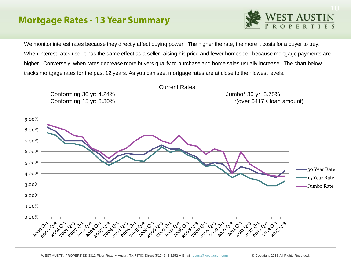#### **Mortgage Rates - 13 Year Summary**

![](_page_9_Picture_1.jpeg)

We monitor interest rates because they directly affect buying power. The higher the rate, the more it costs for a buyer to buy. When interest rates rise, it has the same effect as a seller raising his price and fewer homes sell because mortgage payments are higher. Conversely, when rates decrease more buyers qualify to purchase and home sales usually increase. The chart below tracks mortgage rates for the past 12 years. As you can see, mortgage rates are at close to their lowest levels.

![](_page_9_Figure_3.jpeg)

WEST AUSTIN PROPERTIES 3312 River Road · Austin, TX 78703 Direct (512) 345-1252 · Email [Laura@westaustin.com](mailto:Laura@westaustin.com) © Copyright 2013 All Rights Reserved.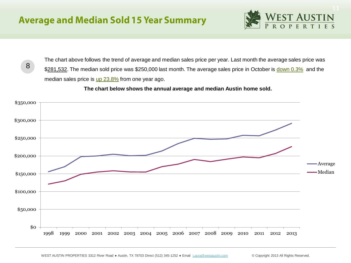8

![](_page_10_Picture_1.jpeg)

The chart above follows the trend of average and median sales price per year. Last month the average sales price was \$281,532. The median sold price was \$250,000 last month. The average sales price in October is down 0.3% and the median sales price is  $\mu$   $23.8\%$  from one year ago.

#### **The chart below shows the annual average and median Austin home sold.**

![](_page_10_Figure_4.jpeg)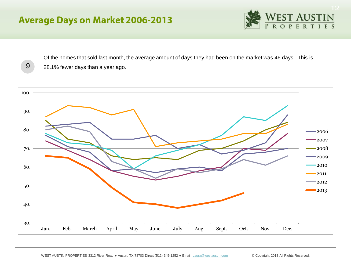# **Average Days on Market 2006-2013**

![](_page_11_Picture_1.jpeg)

Of the homes that sold last month, the average amount of days they had been on the market was 46 days. This is 9 28.1% fewer days than a year ago.

![](_page_11_Figure_3.jpeg)